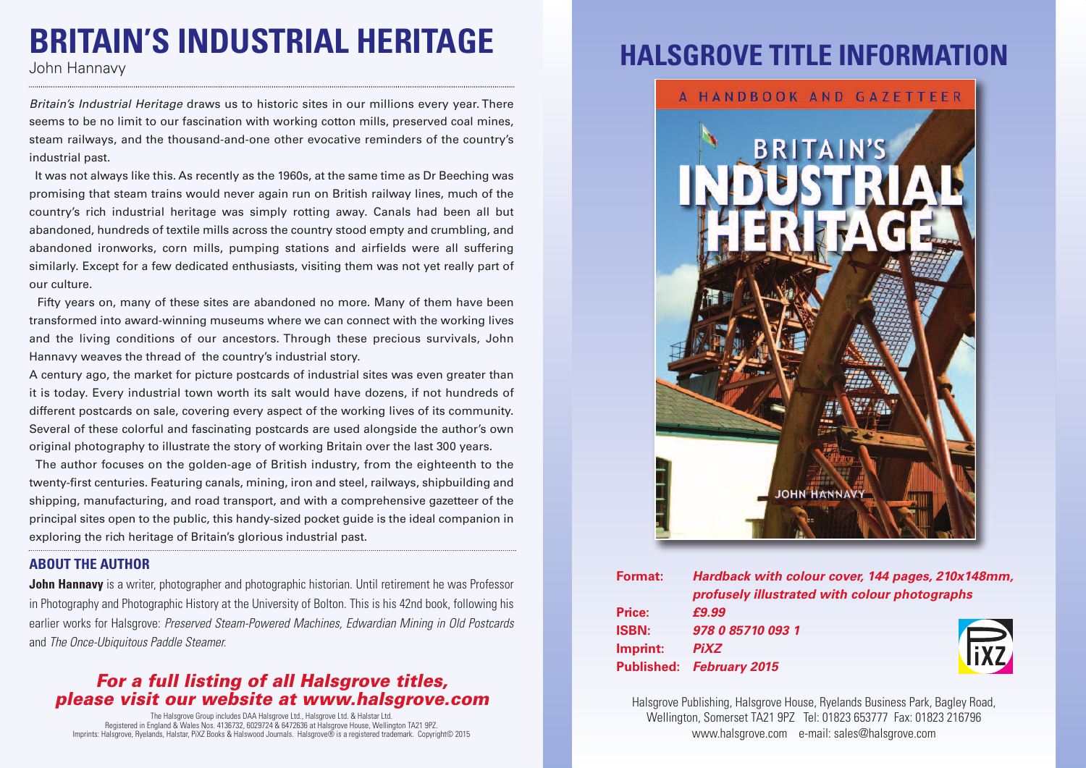# **BRITAIN'S INDUSTRIAL HERITAGE**

*Britain's Industrial Heritage* draws us to historic sites in our millions every year. There seems to be no limit to our fascination with working cotton mills, preserved coal mines, steam railways, and the thousand-and-one other evocative reminders of the country's industrial past.

It was not always like this. As recently as the 1960s, at the same time as Dr Beeching was promising that steam trains would never again run on British railway lines, much of the country's rich industrial heritage was simply rotting away. Canals had been all but abandoned, hundreds of textile mills across the country stood empty and crumbling, and abandoned ironworks, corn mills, pumping stations and airfields were all suffering similarly. Except for a few dedicated enthusiasts, visiting them was not yet really part of our culture.

Fifty years on, many of these sites are abandoned no more. Many of them have been transformed into award-winning museums where we can connect with the working lives and the living conditions of our ancestors. Through these precious survivals, John Hannavy weaves the thread of the country's industrial story.

A century ago, the market for picture postcards of industrial sites was even greater than it is today. Every industrial town worth its salt would have dozens, if not hundreds of different postcards on sale, covering every aspect of the working lives of its community. Several of these colorful and fascinating postcards are used alongside the author's own original photography to illustrate the story of working Britain over the last 300 years.

The author focuses on the golden-age of British industry, from the eighteenth to the twenty-first centuries. Featuring canals, mining, iron and steel, railways, shipbuilding and shipping, manufacturing, and road transport, and with a comprehensive gazetteer of the principal sites open to the public, this handy-sized pocket guide is the ideal companion in exploring the rich heritage of Britain's glorious industrial past.

#### **ABOUT THE AUTHOR**

**John Hannavy** is a writer, photographer and photographic historian. Until retirement he was Professor in Photography and Photographic History at the University of Bolton. This is his 42nd book, following his earlier works for Halsgrove: *Preserved Steam-Powered Machines, Edwardian Mining in Old Postcards* and *The Once-Ubiquitous Paddle Steamer.*

#### *For a full listing of all Halsgrove titles, please visit our website at www.halsgrove.com*

The Halsgrove Group includes DAA Halsgrove Ltd., Halsgrove Ltd. & Halstar Ltd. Registered in England & Wales Nos. 4136732, 6029724 & 6472636 at Halsgrove House, Wellington TA21 9PZ. Imprints: Halsgrove, Ryelands, Halstar, PiXZ Books & Halswood Journals. Halsgrove® is a registered trademark. Copyright© 2015

### **HALSGROVE TITLE INFORMAT**



| Format:           | Hardback with colour cover, 144 pages, 210x148mm,<br>profusely illustrated with colour photographs |             |
|-------------------|----------------------------------------------------------------------------------------------------|-------------|
|                   |                                                                                                    |             |
| <b>Price:</b>     | £9.99                                                                                              |             |
| <b>ISBN:</b>      | 978 0 85710 093 1                                                                                  |             |
| Imprint:          | <b>PiXZ</b>                                                                                        | <b>Tixz</b> |
| <b>Published:</b> | <b>February 2015</b>                                                                               |             |

Halsgrove Publishing, Halsgrove House, Ryelands Business Park, Bagley Road, Wellington, Somerset TA21 9PZ Tel: 01823 653777 Fax: 01823 216796 www.halsgrove.com e-mail: sales@halsgrove.com